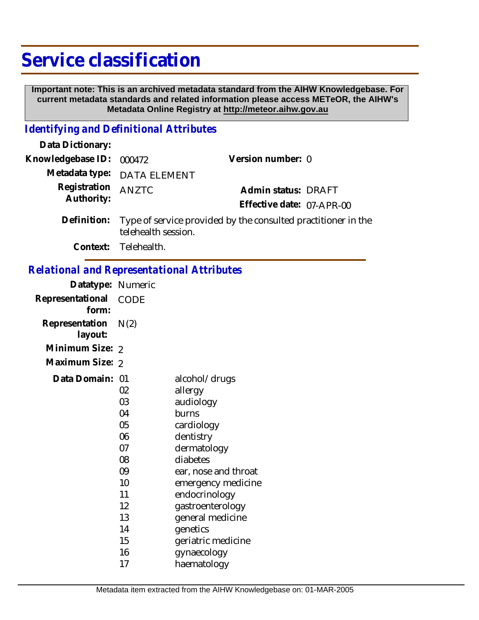# **Service classification**

 **Important note: This is an archived metadata standard from the AIHW Knowledgebase. For current metadata standards and related information please access METeOR, the AIHW's Metadata Online Registry at http://meteor.aihw.gov.au**

### *Identifying and Definitional Attributes*

| Data Dictionary:         |                                                                                      |                           |  |
|--------------------------|--------------------------------------------------------------------------------------|---------------------------|--|
| Knowledgebase ID: 000472 |                                                                                      | Version number: 0         |  |
|                          | Metadata type: DATA ELEMENT                                                          |                           |  |
| Registration             | <b>ANZTC</b>                                                                         | Admin status: DRAFT       |  |
| Authority:               |                                                                                      | Effective date: 07-APR-00 |  |
| Definition:              | Type of service provided by the consulted practitioner in the<br>telehealth session. |                           |  |

**Context:** Telehealth.

## *Relational and Representational Attributes*

| Datatype: Numeric         |             |                      |
|---------------------------|-------------|----------------------|
| Representational<br>form: | <b>CODE</b> |                      |
| Representation<br>layout: | N(2)        |                      |
| Minimum Size: 2           |             |                      |
| Maximum Size: 2           |             |                      |
| Data Domain: 01           |             | alcohol/drugs        |
|                           | 02          | allergy              |
|                           | 03          | audiology            |
|                           | 04          | burns                |
|                           | 05          | cardiology           |
|                           | 06          | dentistry            |
|                           | 07          | dermatology          |
|                           | 08          | diabetes             |
|                           | 09          | ear, nose and throat |
|                           | 10          | emergency medicine   |
|                           | 11          | endocrinology        |
|                           | 12          | gastroenterology     |
|                           | 13          | general medicine     |
|                           | 14          | genetics             |
|                           | 15          | geriatric medicine   |
|                           | 16          | gynaecology          |
|                           | 17          | haematology          |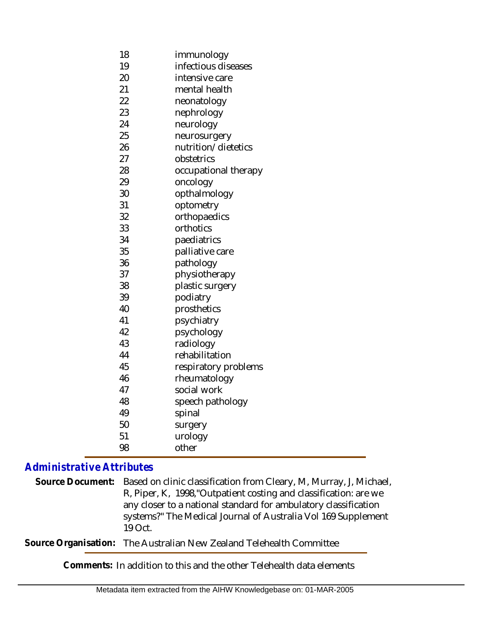- 18 immunology
- 19 infectious diseases
- 20 intensive care
- 21 mental health
- 22 neonatology
- 23 nephrology
- 24 neurology
- 25 neurosurgery
- 26 nutrition/dietetics
- 27 obstetrics
- 28 occupational therapy
- 29 oncology
- 30 opthalmology
- 31 32 optometry orthopaedics
- 33 orthotics
- 34 paediatrics
- 35 palliative care
- 36 pathology
- 37 physiotherapy
- 38 plastic surgery
- 39 podiatry
- 40 41 prosthetics psychiatry
- 42 psychology
- 43 radiology
- 44 rehabilitation
- 45 respiratory problems
- 46 rheumatology
- 47 48 social work
- 49 speech pathology spinal
- 50 surgery
- 51 urology
- 98 other

# *Administrative Attributes*

Based on clinic classification from Cleary, M, Murray, J, Michael, R, Piper, K, 1998,"Outpatient costing and classification: are we any closer to a national standard for ambulatory classification systems?" The Medical Journal of Australia Vol 169 Supplement 19 Oct. **Source Document:**

**Source Organisation:** The Australian New Zealand Telehealth Committee

**Comments:** In addition to this and the other Telehealth data elements